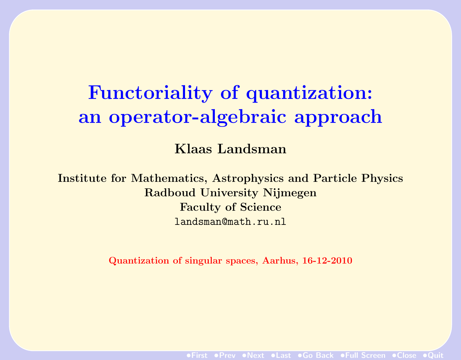# Functoriality of quantization: an operator-algebraic approach

Klaas Landsman

Institute for Mathematics, Astrophysics and Particle Physics Radboud University Nijmegen Faculty of Science landsman@math.ru.nl

Quantization of singular spaces, Aarhus, 16-12-2010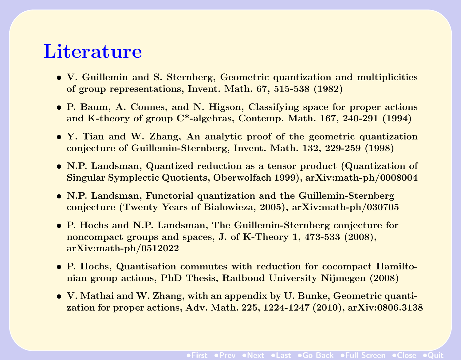### **Literature**

- V. Guillemin and S. Sternberg, Geometric quantization and multiplicities of group representations, Invent. Math. 67, 515-538 (1982)
- P. Baum, A. Connes, and N. Higson, Classifying space for proper actions and K-theory of group C\*-algebras, Contemp. Math. 167, 240-291 (1994)
- Y. Tian and W. Zhang, An analytic proof of the geometric quantization conjecture of Guillemin-Sternberg, Invent. Math. 132, 229-259 (1998)
- N.P. Landsman, Quantized reduction as a tensor product (Quantization of Singular Symplectic Quotients, Oberwolfach 1999), arXiv:math-ph/0008004
- N.P. Landsman, Functorial quantization and the Guillemin-Sternberg conjecture (Twenty Years of Bialowieza, 2005), arXiv:math-ph/030705
- P. Hochs and N.P. Landsman, The Guillemin-Sternberg conjecture for noncompact groups and spaces, J. of K-Theory 1, 473-533 (2008), arXiv:math-ph/0512022
- P. Hochs, Quantisation commutes with reduction for cocompact Hamiltonian group actions, PhD Thesis, Radboud University Nijmegen (2008)
- V. Mathai and W. Zhang, with an appendix by U. Bunke, Geometric quantization for proper actions, Adv. Math. 225, 1224-1247 (2010), arXiv:0806.3138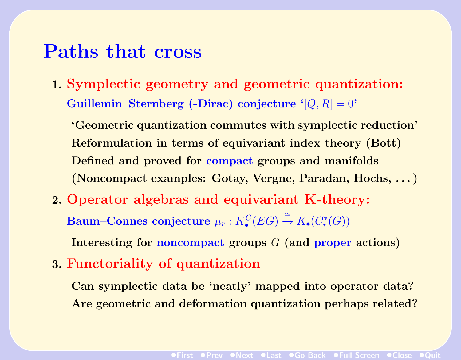### Paths that cross

1. Symplectic geometry and geometric quantization: Guillemin–Sternberg (-Dirac) conjecture ' $[Q, R] = 0$ '

'Geometric quantization commutes with symplectic reduction' Reformulation in terms of equivariant index theory (Bott) Defined and proved for compact groups and manifolds (Noncompact examples: Gotay, Vergne, Paradan, Hochs, . . . )

- 2. Operator algebras and equivariant K-theory:  $\textbf{Baum}-\textbf{Connes~conjecture} \ \mu_r: K^G_\bullet(\underline{E}G) \stackrel{\cong}{\to} K_\bullet(C^*_r)$  $_{r}^{\ast}(G))$ Interesting for noncompact groups G (and proper actions)
- 3. Functoriality of quantization

Can symplectic data be 'neatly' mapped into operator data? Are geometric and deformation quantization perhaps related?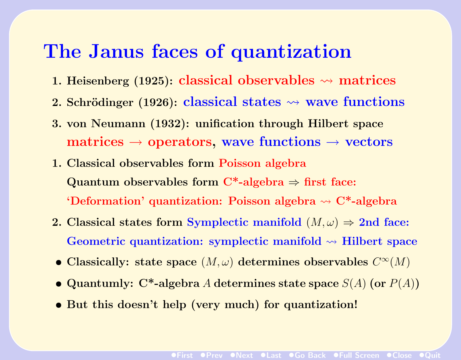# The Janus faces of quantization

- 1. Heisenberg (1925): classical observables  $\rightsquigarrow$  matrices
- 2. Schrödinger (1926): classical states  $\rightsquigarrow$  wave functions
- 3. von Neumann (1932): unification through Hilbert space matrices  $\rightarrow$  operators, wave functions  $\rightarrow$  vectors
- 1. Classical observables form Poisson algebra Quantum observables form  $C^*$ -algebra  $\Rightarrow$  first face: 'Deformation' quantization: Poisson algebra  $\rightsquigarrow C^*$ -algebra
- 2. Classical states form Symplectic manifold  $(M, \omega) \Rightarrow$  2nd face: Geometric quantization: symplectic manifold  $\rightsquigarrow$  Hilbert space
- Classically: state space  $(M, \omega)$  determines observables  $C^{\infty}(M)$
- Quantumly: C<sup>\*</sup>-algebra A determines state space  $S(A)$  (or  $P(A)$ )
- But this doesn't help (very much) for quantization!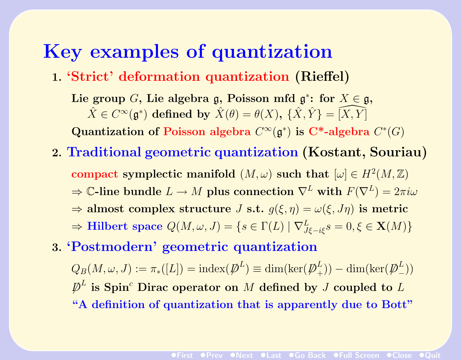# Key examples of quantization

1. 'Strict' deformation quantization (Rieffel)

Lie group G, Lie algebra g, Poisson mfd  $\mathfrak{g}^*$ : for  $X \in \mathfrak{g}$ ,  $\hat{X} \in C^{\infty}(\mathfrak{g}^*)$  defined by  $\hat{X}(\theta) = \theta(X), \ \{\hat{X}, \hat{Y}\} = \widehat{[X, Y]}$ Quantization of Poisson algebra  $C^{\infty}(\mathfrak{g}^*)$  is C<sup>\*</sup>-algebra  $C^*(G)$ 

- 2. Traditional geometric quantization (Kostant, Souriau) compact symplectic manifold  $(M, \omega)$  such that  $[\omega] \in H^2(M, \mathbb{Z})$  $\Rightarrow$  C-line bundle  $L \to M$  plus connection  $\nabla^L$  with  $F(\nabla^L) = 2\pi i \omega$  $\Rightarrow$  almost complex structure J s.t.  $g(\xi, \eta) = \omega(\xi, J\eta)$  is metric  $\Rightarrow$  Hilbert space  $Q(M, \omega, J) = \{s \in \Gamma(L) \mid \nabla^L_{J\xi - i\xi} s = 0, \xi \in \mathbf{X}(M)\}$
- 3. 'Postmodern' geometric quantization

 $Q_B(M,\omega,J) := \pi_*([L]) = \mathrm{index}(\cancel{\not}D^L) \equiv \dim(\ker(\cancel{\not}D^L_+)$  $_{+}^{L}))-\dim (\ker (\not \!\! D_{-}^{L}% )P_{n}^{L}(\theta)\cdot \ln P_{n}^{L}(\theta)\cdot \ln P_{n}^{L}(\theta)\cdot \ln P_{n}^{L}(\theta)$  $\binom{L}{-}$  $\not\!\!\!D^L$  is Spin<sup>c</sup> Dirac operator on  $M$  defined by  $J$  coupled to  $L$ "A definition of quantization that is apparently due to Bott"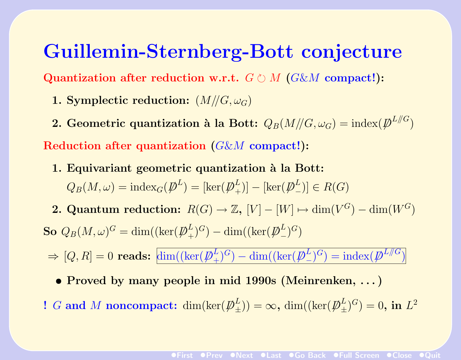# Guillemin-Sternberg-Bott conjecture

Quantization after reduction w.r.t.  $G \circ M$  (G&M compact!):

- 1. Symplectic reduction:  $(M//G, \omega_G)$
- 2. Geometric quantization à la Bott:  $Q_B(M/\!/G,\omega_G) = \mathrm{index}(\not\!\!D^{L/\!/G})$

Reduction after quantization (G&M compact!):

- 1. Equivariant geometric quantization à la Bott:  $Q_B(M,\omega) = \mathrm{index}_G(\not\!\! D^L) = [\ker(\not\!\! D_+^L$  $_{+}^{L})]-[\ker (\not \!\! D_{-}^{L}% )^{L}+\exp (\overline{\omega }^{L}-\varepsilon )^{L}]\cdot \frac{1}{2\pi i}\int_{0}^{L}% d\omega \frac{1}{\sqrt{\varepsilon ^{2}+1}}\cdot \frac{1}{2}% \int_{0}^{L}% d\omega \frac{1}{\sqrt{\varepsilon^{2}+1}}\cdot \frac{1}{2}% \int_{0}^{L}% d\omega \frac{1}{\sqrt{\varepsilon^{2}+1}}\cdot \frac{1}{2}% \int_{0}^{L}% d\omega \frac{1}{\sqrt{\varepsilon^{2}+1}}\cdot \frac{1}{2}% \int_{0}^{L}% d\omega \frac{1}{$  $\binom{L}{-}$   $\in$   $R(G)$
- **2. Quantum reduction:**  $R(G) \to \mathbb{Z}$ ,  $[V] [W] \mapsto \dim(V^G) \dim(W^G)$ So  $Q_B(M,\omega)^G = \dim ((\ker({\not \!\! D}_+^L$  $L^L_+$ )<sup>G</sup>) – dim((ker( $\displaystyle{\not}D_-^L$  $\binom{L}{-}$ <sup>G</sup>
	- $\Rightarrow$  [Q, R] = 0 reads:  $\dim((\ker(\not\!\!D^L_+))$  $(\frac{L}{+})^G$  ) — dim $((\ker(\not \! \! D^L_-))^G)$  $(L)$ <sup> $(L)$ </sup> $)$  = index( $\cancel{p}^{L//G}$ )
		- Proved by many people in mid 1990s (Meinrenken, . . . )
- ! G and M noncompact:  $\dim(\ker(\not\!\!D^L_+)$  $\binom{L}{\pm}$ ) =  $\infty$ , dim((ker( $\displaystyle{\not}D_{\pm}^{L}$  $\left(\frac{L}{\pm}\right)^G)=0, \text{ in } L^2$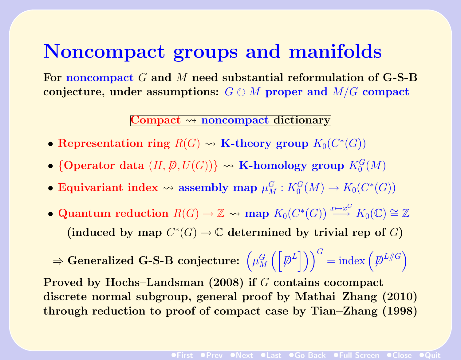# Noncompact groups and manifolds

For noncompact G and M need substantial reformulation of G-S-B conjecture, under assumptions:  $G \circ M$  proper and  $M/G$  compact

#### Compact  $\rightsquigarrow$  noncompact dictionary

- Representation ring  $R(G) \rightsquigarrow K\text{-theory group } K_0(C^*(G))$
- {Operator data  $(H, \mathcal{P}, U(G))$ }  $\rightsquigarrow$  K-homology group  $K_0^G(M)$
- Equivariant index  $\leadsto$  assembly map  $\mu_M^G : K_0^G(M) \to K_0(C^*(G))$
- Quantum reduction  $R(G) \to \mathbb{Z} \rightsquigarrow \text{map } K_0(C^*(G)) \stackrel{x \mapsto x^G}{\longrightarrow} K_0(\mathbb{C}) \cong \mathbb{Z}$ (induced by map  $C^*(G) \to \mathbb{C}$  determined by trivial rep of G)

 $\Rightarrow$  Generalized G-S-B conjecture:  $\left(\mu_M^G\right)$  $\binom{G}{M} \left( \left[ \not{D}^{L} \right] \right) \big)^{G} = \text{index} \left( \not{D}^{L/\!/G} \right)$ 

Proved by Hochs–Landsman (2008) if G contains cocompact discrete normal subgroup, general proof by Mathai–Zhang (2010) through reduction to proof of compact case by Tian–Zhang (1998)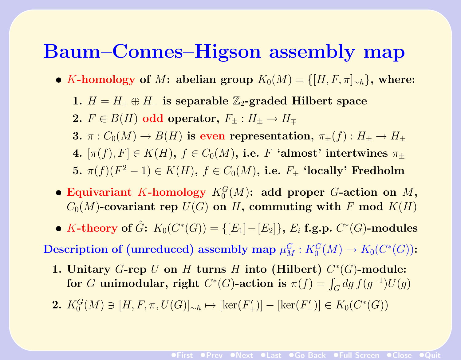### Baum–Connes–Higson assembly map

- K-homology of M: abelian group  $K_0(M) = \{[H, F, \pi]_{\sim h}\}\$ , where:
	- 1.  $H = H_+ \oplus H_-$  is separable  $\mathbb{Z}_2$ -graded Hilbert space
	- 2.  $F \in B(H)$  odd operator,  $F_+ : H_+ \to H_{\pm}$
	- 3.  $\pi: C_0(M) \to B(H)$  is even representation,  $\pi_+(f): H_+ \to H_+$
	- 4.  $[\pi(f), F] \in K(H)$ ,  $f \in C_0(M)$ , i.e. F 'almost' intertwines  $\pi_{\pm}$
	- 5.  $\pi(f)(F^2-1) \in K(H)$ ,  $f \in C_0(M)$ , i.e.  $F_{\pm}$  'locally' Fredholm
- Equivariant K-homology  $K_0^G(M)$ : add proper G-action on M,  $C_0(M)$ -covariant rep  $U(G)$  on H, commuting with F mod  $K(H)$
- K-theory of  $\hat{G}$ :  $K_0(C^*(G)) = \{[E_1] [E_2]\}, E_i$  f.g.p.  $C^*(G)$ -modules

 ${\bf Description ~of ~(unreduced)~ assembly~map}~ \mu_M^G: K_0^G(M) \rightarrow K_0(C^*(G))$ :

- 1. Unitary  $G$ -rep  $U$  on  $H$  turns  $H$  into (Hilbert)  $C^*(G)$ -module: for G unimodular, right  $C^*(G)$ -action is  $\pi(f) = \int_G dg \, f(g^{-1}) U(g)$
- 2.  $K_0^G(M) \ni [H, F, \pi, U(G)]_{\sim h} \mapsto [\ker(F'_+)] [\ker(F'_-)] \in K_0(C^*(G))$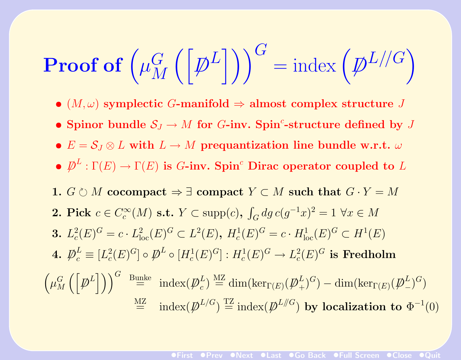**Proof of** 
$$
\left(\mu_M^G\left(\left[\not{D}^L\right]\right)\right)^G = \text{index}\left(\not{D}^L\middle/\middle|G\right)
$$

- $(M,\omega)$  symplectic G-manifold  $\Rightarrow$  almost complex structure J
- Spinor bundle  $S_J \to M$  for G-inv. Spin<sup>c</sup>-structure defined by J
- $E = S_J \otimes L$  with  $L \to M$  prequantization line bundle w.r.t.  $\omega$
- $\bullet \not\!\! D^L : \Gamma(E) \to \Gamma(E)$  is G-inv. Spin<sup>c</sup> Dirac operator coupled to L
- 1.  $G \circ M$  cocompact  $\Rightarrow \exists$  compact  $Y \subset M$  such that  $G \cdot Y = M$
- 2. Pick  $c \in C_c^{\infty}$  $\mathcal{C}_c^\infty(M)$  s.t.  $Y \subset \text{supp}(c)$ ,  $\int_G dg \, c(g^{-1}x)^2 = 1 \, \, \forall x \in M$ 3.  $L_c^2$  $c^2(E)^G = c \cdot L^2_{loc}(E)^G \subset L^2(E)$ ,  $H_c^1(E)^G = c \cdot H_{loc}^1(E)^G \subset H^1(E)$  $4. \not\!\!D_c^L$  $\frac{L}{c} \equiv [L_c^2]$  $\mathcal{C}^2_c(E)^G] \circ \not\!\!\!D^L \circ [H^1_c(E)^G]: H^1_c(E)^G \to L^2_c$  $\frac{2}{c}(E)^G$  is Fredholm  $\int \mu_M^G$ M hD/ L i<sup>G</sup> Bunke = index(D/ L  $\mathcal{L}_c^L$ )  $\overset{\text{MZ}}{=} \dim(\text{ker}_{\Gamma(E)}(\not\!\!\!\!D^L_+)$  $(\mu_+^L)^G) - \dim(\ker_{\Gamma(E)}(\not \!\! D_-^L)$  $\binom{L}{-}$ <sup>G</sup>  $\mathbb{Z}^{\text{MZ}}_p$  index $(\mathbb{Z}^{L/G}) \stackrel{\text{TZ}}{=} \text{index}(\mathbb{Z}^{L/\!/G})$  by localization to  $\Phi^{-1}(0)$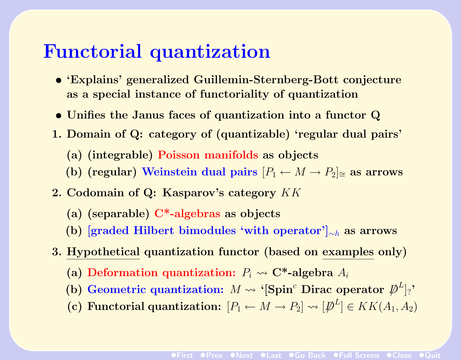# Functorial quantization

- 'Explains' generalized Guillemin-Sternberg-Bott conjecture as a special instance of functoriality of quantization
- Unifies the Janus faces of quantization into a functor Q
- 1. Domain of Q: category of (quantizable) 'regular dual pairs'
	- (a) (integrable) Poisson manifolds as objects
	- (b) (regular) Weinstein dual pairs  $[P_1 \leftarrow M \rightarrow P_2]_{\cong}$  as arrows
- 2. Codomain of Q: Kasparov's category KK
	- (a) (separable) C\*-algebras as objects
	- (b) [graded Hilbert bimodules 'with operator']<sub>∼h</sub> as arrows
- 3. Hypothetical quantization functor (based on examples only)
	- (a) Deformation quantization:  $P_i \rightarrow \mathbb{C}^*$ -algebra  $A_i$
	- (b) Geometric quantization:  $M \leadsto \text{``[Spin^c$ Dirac operator } \bar{\mathcal{P}}^L]_?$
	- (c) Functorial quantization:  $[P_1 \leftarrow M \rightarrow P_2] \rightsquigarrow [D^L] \in KK(A_1, A_2)$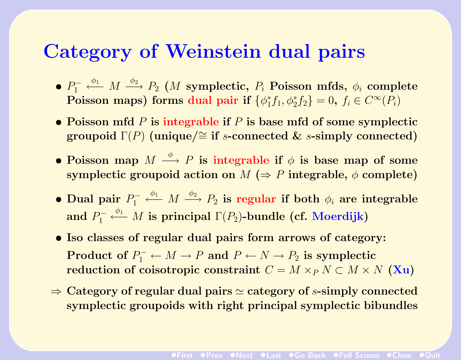# Category of Weinstein dual pairs

- $\bullet$   $P_1^-$ 1  $\stackrel{\phi_1}{\longleftarrow} M \stackrel{\phi_2}{\longrightarrow} P_2$  (*M* symplectic,  $P_i$  Poisson mfds,  $\phi_i$  complete Poisson maps) forms dual pair if  $\{\phi_1^*\}$  $f_1^* f_1, \phi_2^* f_2$  = 0,  $f_i \in C^{\infty}(P_i)$
- Poisson mfd  $P$  is integrable if  $P$  is base mfd of some symplectic groupoid  $\Gamma(P)$  (unique/≅ if s-connected & s-simply connected)
- Poisson map  $M \stackrel{\phi}{\longrightarrow} P$  is integrable if  $\phi$  is base map of some symplectic groupoid action on  $M \leftrightarrow P$  integrable,  $\phi$  complete)
- Dual pair  $P_1^-$ 1  $\stackrel{\phi_1}{\longleftarrow} M \stackrel{\phi_2}{\longrightarrow} P_2$  is regular if both  $\phi_i$  are integrable and  $P_1^-$ 1  $\stackrel{\phi_1}{\longleftarrow} M$  is principal  $\Gamma(P_2)$ -bundle (cf. Moerdijk)
- Iso classes of regular dual pairs form arrows of category: Product of  $P_1^+ \leftarrow M \rightarrow P$  and  $P \leftarrow N \rightarrow P_2$  is symplectic reduction of coisotropic constraint  $C = M \times_{P} N \subset M \times N$  (Xu)
- $\Rightarrow$  Category of regular dual pairs  $\simeq$  category of s-simply connected symplectic groupoids with right principal symplectic bibundles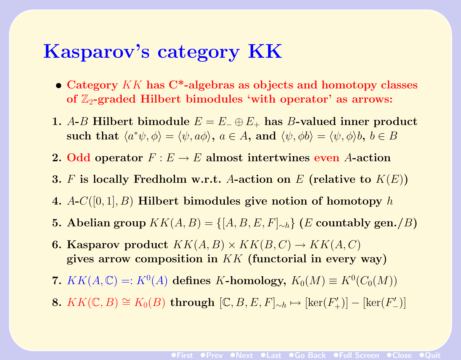### Kasparov's category KK

- Category  $KK$  has  $C^*$ -algebras as objects and homotopy classes of  $\mathbb{Z}_2$ -graded Hilbert bimodules 'with operator' as arrows:
- 1. A-B Hilbert bimodule  $E = E_+ \oplus E_+$  has B-valued inner product such that  $\langle a^*\psi, \phi \rangle = \langle \psi, a\phi \rangle$ ,  $a \in A$ , and  $\langle \psi, \phi \rangle = \langle \psi, \phi \rangle$ ,  $b \in B$
- 2. Odd operator  $F : E \to E$  almost intertwines even A-action
- 3. F is locally Fredholm w.r.t. A-action on E (relative to  $K(E)$ )
- 4.  $A-C([0,1], B)$  Hilbert bimodules give notion of homotopy h
- **5.** Abelian group  $KK(A, B) = \{[A, B, E, F]_{\sim h}\}\ (E \text{ countably gen.}/B)$
- **6. Kasparov product**  $KK(A, B) \times KK(B, C) \rightarrow KK(A, C)$ gives arrow composition in KK (functorial in every way)
- 7.  $KK(A, \mathbb{C}) =: K^0(A)$  defines K-homology,  $K_0(M) \equiv K^0(C_0(M))$
- 8.  $KK(\mathbb{C}, B) \cong K_0(B)$  through  $[\mathbb{C}, B, E, F]_{\sim h} \mapsto [\ker(F_+')] [\ker(F_-')]$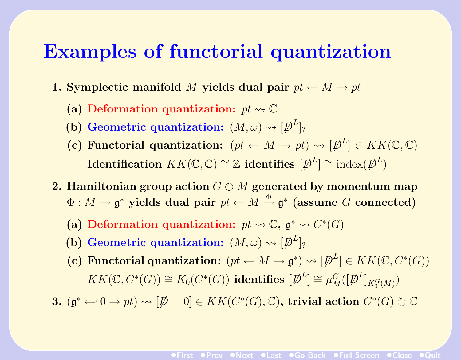### Examples of functorial quantization

- 1. Symplectic manifold M yields dual pair  $pt \leftarrow M \rightarrow pt$ 
	- (a) Deformation quantization:  $pt \rightarrow \mathbb{C}$
	- (b) Geometric quantization:  $(M, \omega) \rightsquigarrow [\not\!\!\!D^L]_?$
	- (c) Functorial quantization:  $(pt \leftarrow M \rightarrow pt) \rightsquigarrow [\not{D}^L] \in KK(\mathbb{C}, \mathbb{C})$  $\textbf{Identification} \,\, KK(\mathbb{C},\mathbb{C}) \cong \mathbb{Z} \,\, \textbf{identifies} \,\, [\not \!\! D^L] \cong \textbf{index}(\not \!\! D^L)$
- 2. Hamiltonian group action  $G \circ M$  generated by momentum map  $\Phi: M \to \mathfrak{g}^*$  yields dual pair  $pt \leftarrow M \stackrel{\Phi}{\to} \mathfrak{g}^*$  (assume G connected)
	- (a) Deformation quantization:  $pt \rightarrow \mathbb{C}$ ,  $\mathfrak{g}^* \rightarrow C^*(G)$
	- (b) Geometric quantization:  $(M, \omega) \rightsquigarrow [\not\!\!\!D^L]_?$
	- (c) Functorial quantization:  $(pt \leftarrow M \rightarrow \mathfrak{g}^*) \rightsquigarrow [\mathcal{P}^L] \in KK(\mathbb{C}, C^*(G))$  $KK(\mathbb{C}, C^*(G)) \cong K_0(C^*(G))$  identifies  $[\mathcal{P}^L] \cong \mu_M^G([\mathcal{P}^L]_{K_0^G(M)})$

3.  $(\mathfrak{g}^* \leftarrow 0 \rightarrow pt) \rightsquigarrow [\not\!\!\!D = 0] \in KK(C^*(G), \mathbb{C})$ , trivial action  $C^*(G) \circlearrowright \mathbb{C}$